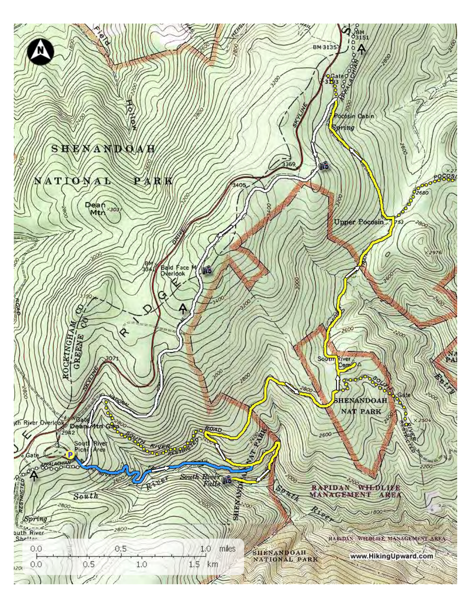